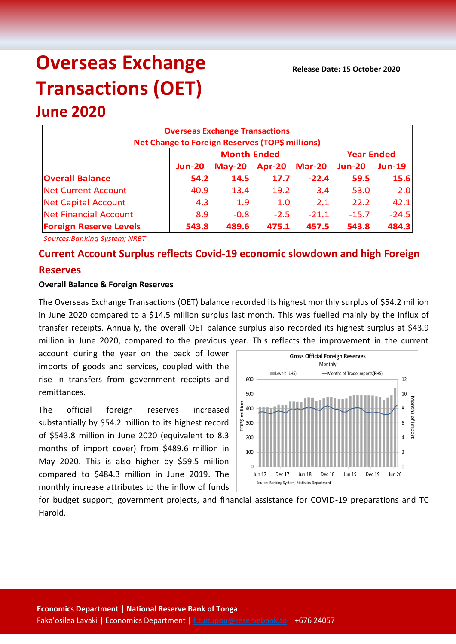# **Overseas Exchange Transactions (OET)**

## **June 2020**

| <b>Overseas Exchange Transactions</b><br>Net Change to Foreign Reserves (TOP\$ millions) |               |                    |                   |               |               |               |  |  |
|------------------------------------------------------------------------------------------|---------------|--------------------|-------------------|---------------|---------------|---------------|--|--|
|                                                                                          |               | <b>Month Ended</b> | <b>Year Ended</b> |               |               |               |  |  |
|                                                                                          | <b>Jun-20</b> | $May-20$           | Apr-20            | <b>Mar-20</b> | <b>Jun-20</b> | <b>Jun-19</b> |  |  |
| <b>Overall Balance</b>                                                                   | 54.2          | 14.5               | 17.7              | $-22.4$       | 59.5          | 15.6          |  |  |
| <b>Net Current Account</b>                                                               | 40.9          | 13.4               | 19.2              | $-3.4$        | 53.0          | $-2.0$        |  |  |
| <b>Net Capital Account</b>                                                               | 4.3           | 1.9                | 1.0               | 2.1           | 22.2          | 42.1          |  |  |
| Net Financial Account                                                                    | 8.9           | $-0.8$             | $-2.5$            | $-21.1$       | $-15.7$       | $-24.5$       |  |  |
| <b>Foreign Reserve Levels</b>                                                            | 543.8         | 489.6              | 475.1             | 457.5         | 543.8         | 484.3         |  |  |

*Sources:Banking System; NRBT*

### **Current Account Surplus reflects Covid-19 economic slowdown and high Foreign Reserves**

#### **Overall Balance & Foreign Reserves**

The Overseas Exchange Transactions (OET) balance recorded its highest monthly surplus of \$54.2 million in June 2020 compared to a \$14.5 million surplus last month. This was fuelled mainly by the influx of transfer receipts. Annually, the overall OET balance surplus also recorded its highest surplus at \$43.9 million in June 2020, compared to the previous year. This reflects the improvement in the current

account during the year on the back of lower imports of goods and services, coupled with the rise in transfers from government receipts and remittances.

The official foreign reserves increased substantially by \$54.2 million to its highest record of \$543.8 million in June 2020 (equivalent to 8.3 months of import cover) from \$489.6 million in May 2020. This is also higher by \$59.5 million compared to \$484.3 million in June 2019. The monthly increase attributes to the inflow of funds



for budget support, government projects, and financial assistance for COVID-19 preparations and TC Harold.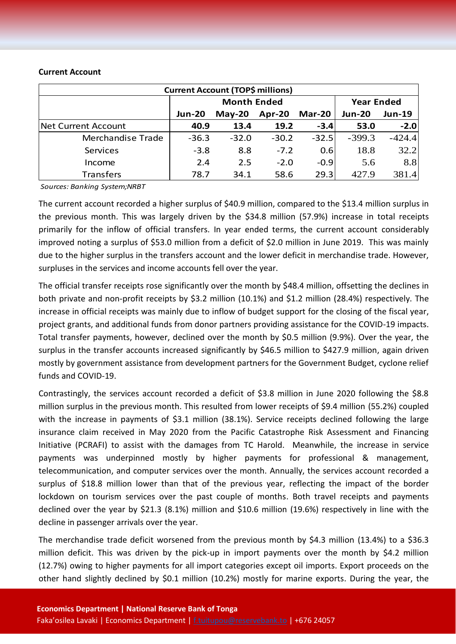#### **Current Account**

| <b>Current Account (TOP\$ millions)</b> |                    |          |         |               |                   |               |  |  |  |
|-----------------------------------------|--------------------|----------|---------|---------------|-------------------|---------------|--|--|--|
|                                         | <b>Month Ended</b> |          |         |               | <b>Year Ended</b> |               |  |  |  |
|                                         | <b>Jun-20</b>      | $May-20$ | Apr-20  | <b>Mar-20</b> | <b>Jun-20</b>     | <b>Jun-19</b> |  |  |  |
| Net Current Account                     | 40.9               | 13.4     | 19.2    | $-3.4$        | 53.0              | $-2.0$        |  |  |  |
| Merchandise Trade                       | $-36.3$            | $-32.0$  | $-30.2$ | $-32.5$       | $-399.3$          | $-424.4$      |  |  |  |
| Services                                | $-3.8$             | 8.8      | $-7.2$  | 0.6           | 18.8              | 32.2          |  |  |  |
| Income                                  | 2.4                | 2.5      | $-2.0$  | $-0.9$        | 5.6               | 8.8           |  |  |  |
| <b>Transfers</b>                        | 78.7               | 34.1     | 58.6    | 29.3          | 427.9             | 381.4         |  |  |  |

*Sources: Banking System;NRBT*

The current account recorded a higher surplus of \$40.9 million, compared to the \$13.4 million surplus in the previous month. This was largely driven by the \$34.8 million (57.9%) increase in total receipts primarily for the inflow of official transfers. In year ended terms, the current account considerably improved noting a surplus of \$53.0 million from a deficit of \$2.0 million in June 2019. This was mainly due to the higher surplus in the transfers account and the lower deficit in merchandise trade. However, surpluses in the services and income accounts fell over the year.

The official transfer receipts rose significantly over the month by \$48.4 million, offsetting the declines in both private and non-profit receipts by \$3.2 million (10.1%) and \$1.2 million (28.4%) respectively. The increase in official receipts was mainly due to inflow of budget support for the closing of the fiscal year, project grants, and additional funds from donor partners providing assistance for the COVID-19 impacts. Total transfer payments, however, declined over the month by \$0.5 million (9.9%). Over the year, the surplus in the transfer accounts increased significantly by \$46.5 million to \$427.9 million, again driven mostly by government assistance from development partners for the Government Budget, cyclone relief funds and COVID-19.

Contrastingly, the services account recorded a deficit of \$3.8 million in June 2020 following the \$8.8 million surplus in the previous month. This resulted from lower receipts of \$9.4 million (55.2%) coupled with the increase in payments of \$3.1 million (38.1%). Service receipts declined following the large insurance claim received in May 2020 from the Pacific Catastrophe Risk Assessment and Financing Initiative (PCRAFI) to assist with the damages from TC Harold. Meanwhile, the increase in service payments was underpinned mostly by higher payments for professional & management, telecommunication, and computer services over the month. Annually, the services account recorded a surplus of \$18.8 million lower than that of the previous year, reflecting the impact of the border lockdown on tourism services over the past couple of months. Both travel receipts and payments declined over the year by \$21.3 (8.1%) million and \$10.6 million (19.6%) respectively in line with the decline in passenger arrivals over the year.

The merchandise trade deficit worsened from the previous month by \$4.3 million (13.4%) to a \$36.3 million deficit. This was driven by the pick-up in import payments over the month by \$4.2 million (12.7%) owing to higher payments for all import categories except oil imports. Export proceeds on the other hand slightly declined by \$0.1 million (10.2%) mostly for marine exports. During the year, the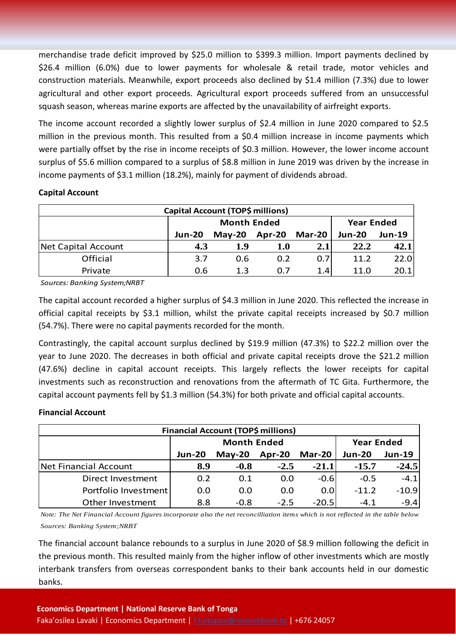merchandise trade deficit improved by \$25.0 million to \$399.3 million. Import payments declined by \$26.4 million (6.0%) due to lower payments for wholesale & retail trade, motor vehicles and construction materials. Meanwhile, export proceeds also declined by \$1.4 million (7.3%) due to lower agricultural and other export proceeds. Agricultural export proceeds suffered from an unsuccessful squash season, whereas marine exports are affected by the unavailability of airfreight exports.

The income account recorded a slightly lower surplus of \$2.4 million in June 2020 compared to \$2.5 million in the previous month. This resulted from a \$0.4 million increase in income payments which were partially offset by the rise in income receipts of \$0.3 million. However, the lower income account surplus of \$5.6 million compared to a surplus of \$8.8 million in June 2019 was driven by the increase in income payments of \$3.1 million (18.2%), mainly for payment of dividends abroad.

#### **Capital Account**

| Capital Account (TOP\$ millions) |               |                    |                   |               |               |               |  |  |
|----------------------------------|---------------|--------------------|-------------------|---------------|---------------|---------------|--|--|
|                                  |               | <b>Month Ended</b> | <b>Year Ended</b> |               |               |               |  |  |
|                                  | <b>Jun-20</b> | $Mav-20$           | Apr-20            | <b>Mar-20</b> | <b>Jun-20</b> | <b>Jun-19</b> |  |  |
| Net Capital Account              | 4.3           | 1.9                | 1.0               | 2.1           | 22.2          | 42.1          |  |  |
| Official                         | 3.7           | 0.6                | 0.2               | 0.7           | 11.2          | 22.0          |  |  |
| Private                          | 0.6           | 1.3                | 0.7               | 1.4           | 11.0          | 20.1          |  |  |

*Sources: Banking System;NRBT*

The capital account recorded a higher surplus of \$4.3 million in June 2020. This reflected the increase in official capital receipts by \$3.1 million, whilst the private capital receipts increased by \$0.7 million (54.7%). There were no capital payments recorded for the month.

Contrastingly, the capital account surplus declined by \$19.9 million (47.3%) to \$22.2 million over the year to June 2020. The decreases in both official and private capital receipts drove the \$21.2 million (47.6%) decline in capital account receipts. This largely reflects the lower receipts for capital investments such as reconstruction and renovations from the aftermath of TC Gita. Furthermore, the capital account payments fell by \$1.3 million (54.3%) for both private and official capital accounts.

#### **Financial Account**

| Financial Account (TOP\$ millions) |               |                    |                   |               |               |               |  |  |  |
|------------------------------------|---------------|--------------------|-------------------|---------------|---------------|---------------|--|--|--|
|                                    |               | <b>Month Ended</b> | <b>Year Ended</b> |               |               |               |  |  |  |
|                                    | <b>Jun-20</b> | $May-20$           | $Apr-20$          | <b>Mar-20</b> | <b>Jun-20</b> | <b>Jun-19</b> |  |  |  |
| Net Financial Account              | 8.9           | $-0.8$             | $-2.5$            | $-21.1$       | $-15.7$       | $-24.5$       |  |  |  |
| Direct Investment                  | 0.2           | 0.1                | 0.0               | $-0.6$        | $-0.5$        | $-4.1$        |  |  |  |
| Portfolio Investment               | 0.0           | 0.0                | 0.0               | 0.0           | $-11.2$       | $-10.9$       |  |  |  |
| Other Investment                   | 8.8           | $-0.8$             | $-2.5$            | $-20.5$       | $-4.1$        | $-9.4$        |  |  |  |

*Note: The Net Financial Account figures incorporate also the net reconcilliation items which is not reflected in the table below Sources: Banking System;NRBT*

The financial account balance rebounds to a surplus in June 2020 of \$8.9 million following the deficit in the previous month. This resulted mainly from the higher inflow of other investments which are mostly interbank transfers from overseas correspondent banks to their bank accounts held in our domestic banks.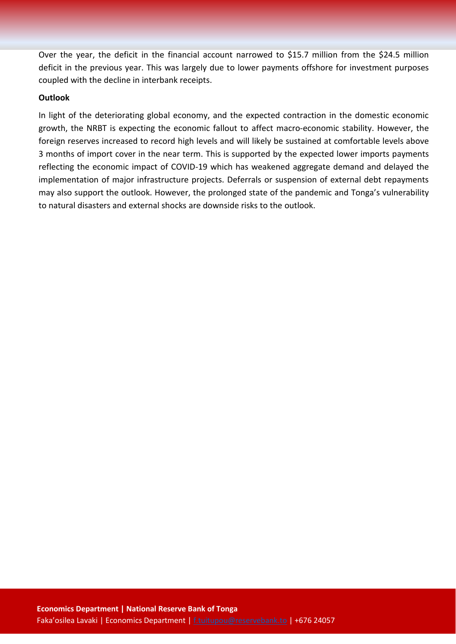Over the year, the deficit in the financial account narrowed to \$15.7 million from the \$24.5 million deficit in the previous year. This was largely due to lower payments offshore for investment purposes coupled with the decline in interbank receipts.

#### **Outlook**

In light of the deteriorating global economy, and the expected contraction in the domestic economic growth, the NRBT is expecting the economic fallout to affect macro-economic stability. However, the foreign reserves increased to record high levels and will likely be sustained at comfortable levels above 3 months of import cover in the near term. This is supported by the expected lower imports payments reflecting the economic impact of COVID-19 which has weakened aggregate demand and delayed the implementation of major infrastructure projects. Deferrals or suspension of external debt repayments may also support the outlook. However, the prolonged state of the pandemic and Tonga's vulnerability to natural disasters and external shocks are downside risks to the outlook.